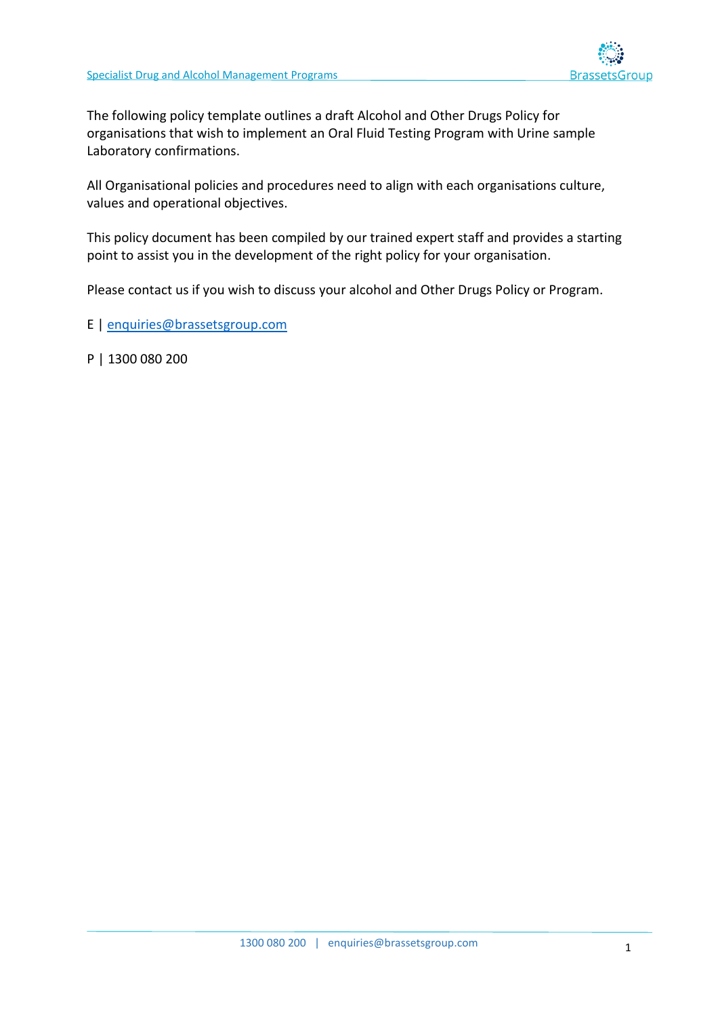

The following policy template outlines a draft Alcohol and Other Drugs Policy for organisations that wish to implement an Oral Fluid Testing Program with Urine sample Laboratory confirmations.

All Organisational policies and procedures need to align with each organisations culture, values and operational objectives.

This policy document has been compiled by our trained expert staff and provides a starting point to assist you in the development of the right policy for your organisation.

Please contact us if you wish to discuss your alcohol and Other Drugs Policy or Program.

E | [enquiries@brassetsgroup.com](mailto:enquiries@brassetsgroup.com)

P | 1300 080 200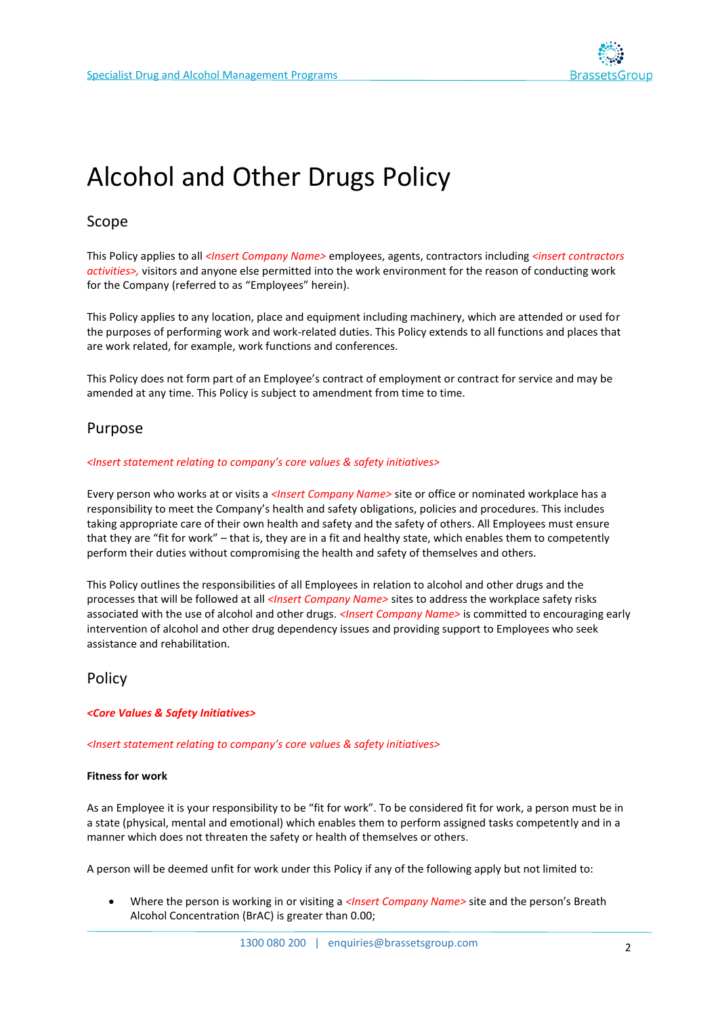

# Alcohol and Other Drugs Policy

## Scope

This Policy applies to all *<Insert Company Name>* employees, agents, contractors including *<insert contractors activities>,* visitors and anyone else permitted into the work environment for the reason of conducting work for the Company (referred to as "Employees" herein).

This Policy applies to any location, place and equipment including machinery, which are attended or used for the purposes of performing work and work-related duties. This Policy extends to all functions and places that are work related, for example, work functions and conferences.

This Policy does not form part of an Employee's contract of employment or contract for service and may be amended at any time. This Policy is subject to amendment from time to time.

### Purpose

#### *<Insert statement relating to company's core values & safety initiatives>*

Every person who works at or visits a *<Insert Company Name>* site or office or nominated workplace has a responsibility to meet the Company's health and safety obligations, policies and procedures. This includes taking appropriate care of their own health and safety and the safety of others. All Employees must ensure that they are "fit for work" – that is, they are in a fit and healthy state, which enables them to competently perform their duties without compromising the health and safety of themselves and others.

This Policy outlines the responsibilities of all Employees in relation to alcohol and other drugs and the processes that will be followed at all *<Insert Company Name>* sites to address the workplace safety risks associated with the use of alcohol and other drugs. *<Insert Company Name>* is committed to encouraging early intervention of alcohol and other drug dependency issues and providing support to Employees who seek assistance and rehabilitation.

### Policy

#### *<Core Values & Safety Initiatives>*

*<Insert statement relating to company's core values & safety initiatives>*

#### **Fitness for work**

As an Employee it is your responsibility to be "fit for work". To be considered fit for work, a person must be in a state (physical, mental and emotional) which enables them to perform assigned tasks competently and in a manner which does not threaten the safety or health of themselves or others.

A person will be deemed unfit for work under this Policy if any of the following apply but not limited to:

• Where the person is working in or visiting a *<Insert Company Name>* site and the person's Breath Alcohol Concentration (BrAC) is greater than 0.00;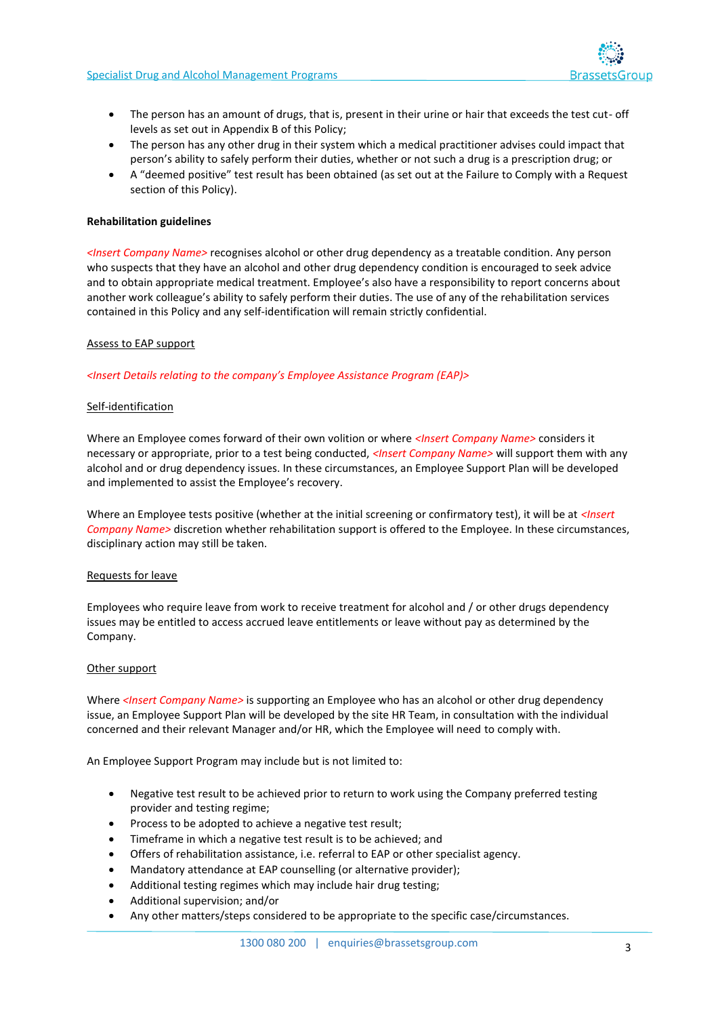

- The person has an amount of drugs, that is, present in their urine or hair that exceeds the test cut- off levels as set out in Appendix B of this Policy;
- The person has any other drug in their system which a medical practitioner advises could impact that person's ability to safely perform their duties, whether or not such a drug is a prescription drug; or
- A "deemed positive" test result has been obtained (as set out at the Failure to Comply with a Request section of this Policy).

#### **Rehabilitation guidelines**

*<Insert Company Name>* recognises alcohol or other drug dependency as a treatable condition. Any person who suspects that they have an alcohol and other drug dependency condition is encouraged to seek advice and to obtain appropriate medical treatment. Employee's also have a responsibility to report concerns about another work colleague's ability to safely perform their duties. The use of any of the rehabilitation services contained in this Policy and any self-identification will remain strictly confidential.

#### Assess to EAP support

#### *<Insert Details relating to the company's Employee Assistance Program (EAP)>*

#### Self-identification

Where an Employee comes forward of their own volition or where *<Insert Company Name>* considers it necessary or appropriate, prior to a test being conducted, *<Insert Company Name>* will support them with any alcohol and or drug dependency issues. In these circumstances, an Employee Support Plan will be developed and implemented to assist the Employee's recovery.

Where an Employee tests positive (whether at the initial screening or confirmatory test), it will be at *<Insert Company Name>* discretion whether rehabilitation support is offered to the Employee. In these circumstances, disciplinary action may still be taken.

#### Requests for leave

Employees who require leave from work to receive treatment for alcohol and / or other drugs dependency issues may be entitled to access accrued leave entitlements or leave without pay as determined by the Company.

#### Other support

Where *<Insert Company Name>* is supporting an Employee who has an alcohol or other drug dependency issue, an Employee Support Plan will be developed by the site HR Team, in consultation with the individual concerned and their relevant Manager and/or HR, which the Employee will need to comply with.

An Employee Support Program may include but is not limited to:

- Negative test result to be achieved prior to return to work using the Company preferred testing provider and testing regime;
- Process to be adopted to achieve a negative test result;
- Timeframe in which a negative test result is to be achieved; and
- Offers of rehabilitation assistance, i.e. referral to EAP or other specialist agency.
- Mandatory attendance at EAP counselling (or alternative provider);
- Additional testing regimes which may include hair drug testing;
- Additional supervision; and/or
- Any other matters/steps considered to be appropriate to the specific case/circumstances.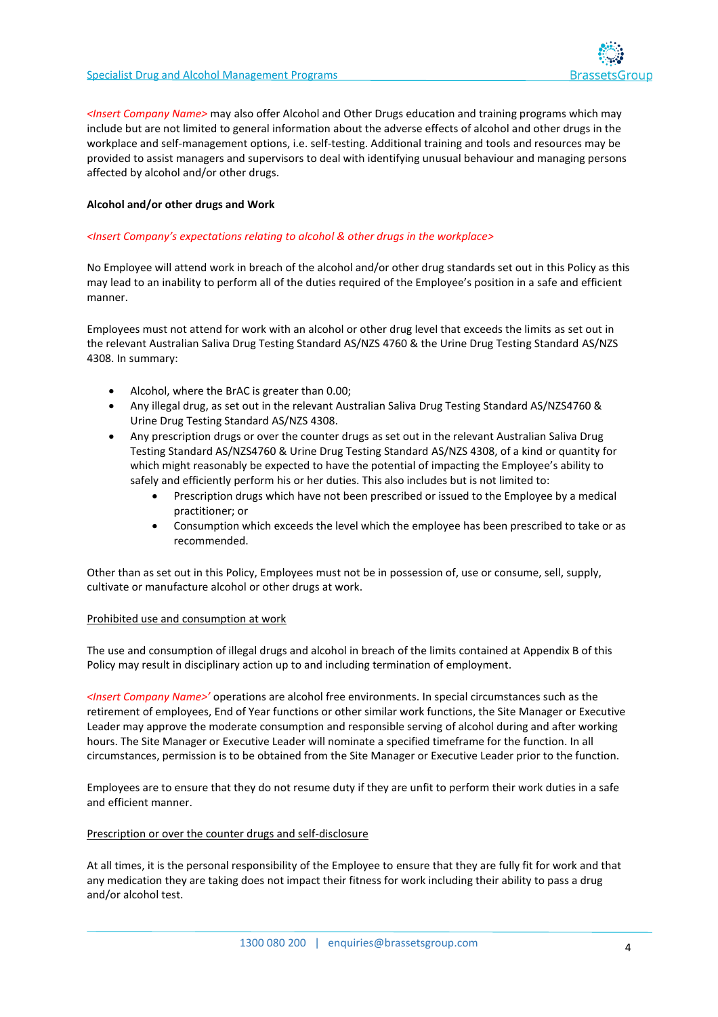

*<Insert Company Name>* may also offer Alcohol and Other Drugs education and training programs which may include but are not limited to general information about the adverse effects of alcohol and other drugs in the workplace and self-management options, i.e. self-testing. Additional training and tools and resources may be provided to assist managers and supervisors to deal with identifying unusual behaviour and managing persons affected by alcohol and/or other drugs.

#### **Alcohol and/or other drugs and Work**

#### *<Insert Company's expectations relating to alcohol & other drugs in the workplace>*

No Employee will attend work in breach of the alcohol and/or other drug standards set out in this Policy as this may lead to an inability to perform all of the duties required of the Employee's position in a safe and efficient manner.

Employees must not attend for work with an alcohol or other drug level that exceeds the limits as set out in the relevant Australian Saliva Drug Testing Standard AS/NZS 4760 & the Urine Drug Testing Standard AS/NZS 4308. In summary:

- Alcohol, where the BrAC is greater than 0.00;
- Any illegal drug, as set out in the relevant Australian Saliva Drug Testing Standard AS/NZS4760 & Urine Drug Testing Standard AS/NZS 4308.
- Any prescription drugs or over the counter drugs as set out in the relevant Australian Saliva Drug Testing Standard AS/NZS4760 & Urine Drug Testing Standard AS/NZS 4308, of a kind or quantity for which might reasonably be expected to have the potential of impacting the Employee's ability to safely and efficiently perform his or her duties. This also includes but is not limited to:
	- Prescription drugs which have not been prescribed or issued to the Employee by a medical practitioner; or
	- Consumption which exceeds the level which the employee has been prescribed to take or as recommended.

Other than as set out in this Policy, Employees must not be in possession of, use or consume, sell, supply, cultivate or manufacture alcohol or other drugs at work.

#### Prohibited use and consumption at work

The use and consumption of illegal drugs and alcohol in breach of the limits contained at Appendix B of this Policy may result in disciplinary action up to and including termination of employment.

*<Insert Company Name>'* operations are alcohol free environments. In special circumstances such as the retirement of employees, End of Year functions or other similar work functions, the Site Manager or Executive Leader may approve the moderate consumption and responsible serving of alcohol during and after working hours. The Site Manager or Executive Leader will nominate a specified timeframe for the function. In all circumstances, permission is to be obtained from the Site Manager or Executive Leader prior to the function.

Employees are to ensure that they do not resume duty if they are unfit to perform their work duties in a safe and efficient manner.

#### Prescription or over the counter drugs and self-disclosure

At all times, it is the personal responsibility of the Employee to ensure that they are fully fit for work and that any medication they are taking does not impact their fitness for work including their ability to pass a drug and/or alcohol test.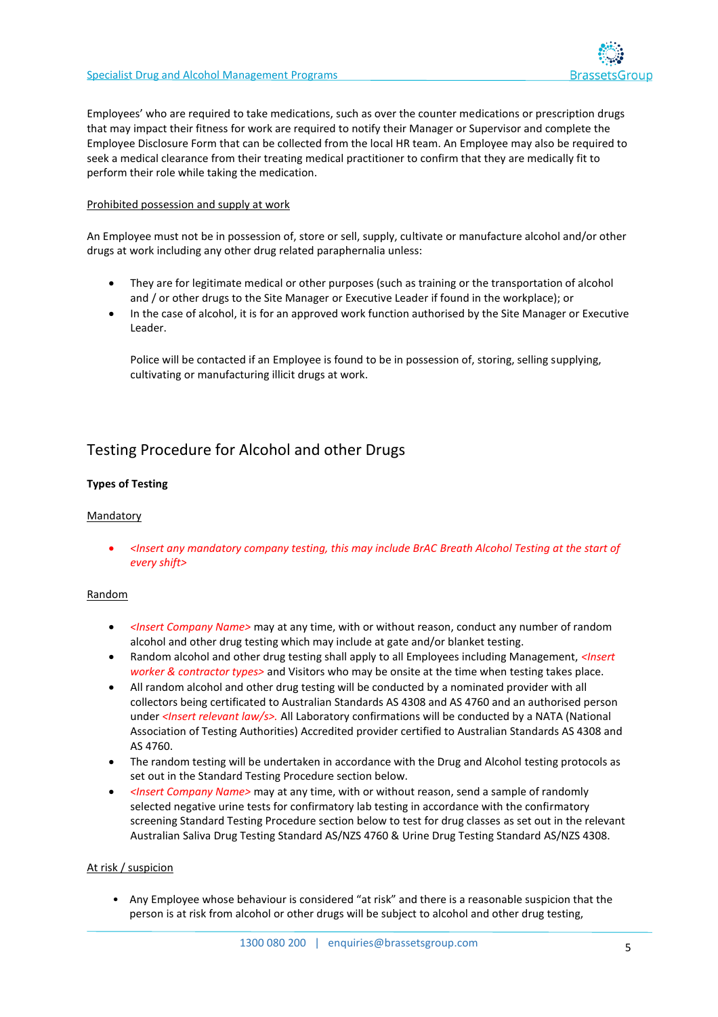

Employees' who are required to take medications, such as over the counter medications or prescription drugs that may impact their fitness for work are required to notify their Manager or Supervisor and complete the Employee Disclosure Form that can be collected from the local HR team. An Employee may also be required to seek a medical clearance from their treating medical practitioner to confirm that they are medically fit to perform their role while taking the medication.

#### Prohibited possession and supply at work

An Employee must not be in possession of, store or sell, supply, cultivate or manufacture alcohol and/or other drugs at work including any other drug related paraphernalia unless:

- They are for legitimate medical or other purposes (such as training or the transportation of alcohol and / or other drugs to the Site Manager or Executive Leader if found in the workplace); or
- In the case of alcohol, it is for an approved work function authorised by the Site Manager or Executive Leader.

Police will be contacted if an Employee is found to be in possession of, storing, selling supplying, cultivating or manufacturing illicit drugs at work.

# Testing Procedure for Alcohol and other Drugs

#### **Types of Testing**

#### Mandatory

• *<Insert any mandatory company testing, this may include BrAC Breath Alcohol Testing at the start of every shift>*

#### Random

- *<Insert Company Name>* may at any time, with or without reason, conduct any number of random alcohol and other drug testing which may include at gate and/or blanket testing.
- Random alcohol and other drug testing shall apply to all Employees including Management, *<Insert worker & contractor types>* and Visitors who may be onsite at the time when testing takes place.
- All random alcohol and other drug testing will be conducted by a nominated provider with all collectors being certificated to Australian Standards AS 4308 and AS 4760 and an authorised person under *<Insert relevant law/s>.* All Laboratory confirmations will be conducted by a NATA (National Association of Testing Authorities) Accredited provider certified to Australian Standards AS 4308 and AS 4760.
- The random testing will be undertaken in accordance with the Drug and Alcohol testing protocols as set out in the Standard Testing Procedure section below.
- *<Insert Company Name>* may at any time, with or without reason, send a sample of randomly selected negative urine tests for confirmatory lab testing in accordance with the confirmatory screening Standard Testing Procedure section below to test for drug classes as set out in the relevant Australian Saliva Drug Testing Standard AS/NZS 4760 & Urine Drug Testing Standard AS/NZS 4308.

#### At risk / suspicion

• Any Employee whose behaviour is considered "at risk" and there is a reasonable suspicion that the person is at risk from alcohol or other drugs will be subject to alcohol and other drug testing,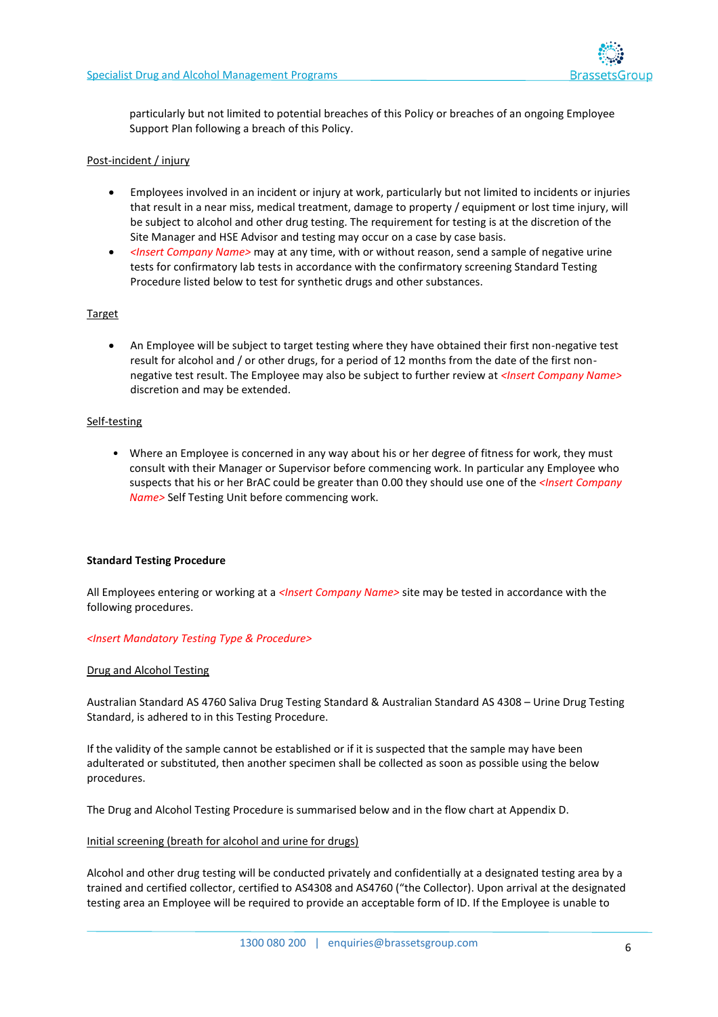

particularly but not limited to potential breaches of this Policy or breaches of an ongoing Employee Support Plan following a breach of this Policy.

#### Post-incident / injury

- Employees involved in an incident or injury at work, particularly but not limited to incidents or injuries that result in a near miss, medical treatment, damage to property / equipment or lost time injury, will be subject to alcohol and other drug testing. The requirement for testing is at the discretion of the Site Manager and HSE Advisor and testing may occur on a case by case basis.
- *<Insert Company Name>* may at any time, with or without reason, send a sample of negative urine tests for confirmatory lab tests in accordance with the confirmatory screening Standard Testing Procedure listed below to test for synthetic drugs and other substances.

#### **Target**

• An Employee will be subject to target testing where they have obtained their first non-negative test result for alcohol and / or other drugs, for a period of 12 months from the date of the first nonnegative test result. The Employee may also be subject to further review at *<Insert Company Name>* discretion and may be extended.

#### Self-testing

• Where an Employee is concerned in any way about his or her degree of fitness for work, they must consult with their Manager or Supervisor before commencing work. In particular any Employee who suspects that his or her BrAC could be greater than 0.00 they should use one of the *<Insert Company Name>* Self Testing Unit before commencing work.

#### **Standard Testing Procedure**

All Employees entering or working at a *<Insert Company Name>* site may be tested in accordance with the following procedures.

#### *<Insert Mandatory Testing Type & Procedure>*

#### Drug and Alcohol Testing

Australian Standard AS 4760 Saliva Drug Testing Standard & Australian Standard AS 4308 – Urine Drug Testing Standard, is adhered to in this Testing Procedure.

If the validity of the sample cannot be established or if it is suspected that the sample may have been adulterated or substituted, then another specimen shall be collected as soon as possible using the below procedures.

The Drug and Alcohol Testing Procedure is summarised below and in the flow chart at Appendix D.

#### Initial screening (breath for alcohol and urine for drugs)

Alcohol and other drug testing will be conducted privately and confidentially at a designated testing area by a trained and certified collector, certified to AS4308 and AS4760 ("the Collector). Upon arrival at the designated testing area an Employee will be required to provide an acceptable form of ID. If the Employee is unable to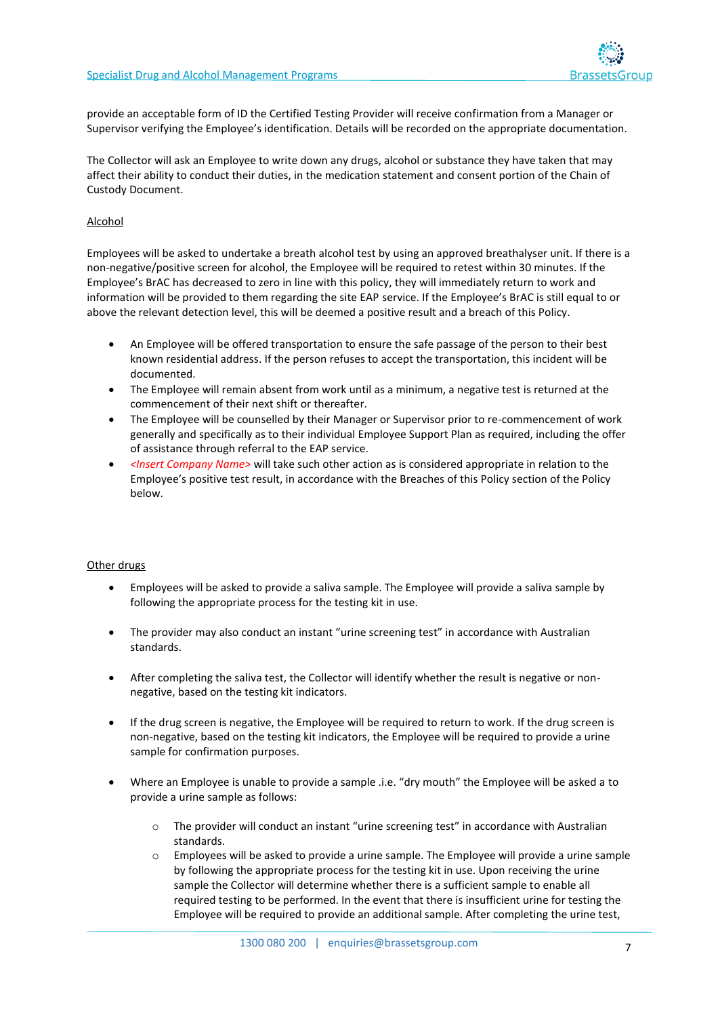

provide an acceptable form of ID the Certified Testing Provider will receive confirmation from a Manager or Supervisor verifying the Employee's identification. Details will be recorded on the appropriate documentation.

The Collector will ask an Employee to write down any drugs, alcohol or substance they have taken that may affect their ability to conduct their duties, in the medication statement and consent portion of the Chain of Custody Document.

#### Alcohol

Employees will be asked to undertake a breath alcohol test by using an approved breathalyser unit. If there is a non-negative/positive screen for alcohol, the Employee will be required to retest within 30 minutes. If the Employee's BrAC has decreased to zero in line with this policy, they will immediately return to work and information will be provided to them regarding the site EAP service. If the Employee's BrAC is still equal to or above the relevant detection level, this will be deemed a positive result and a breach of this Policy.

- An Employee will be offered transportation to ensure the safe passage of the person to their best known residential address. If the person refuses to accept the transportation, this incident will be documented.
- The Employee will remain absent from work until as a minimum, a negative test is returned at the commencement of their next shift or thereafter.
- The Employee will be counselled by their Manager or Supervisor prior to re-commencement of work generally and specifically as to their individual Employee Support Plan as required, including the offer of assistance through referral to the EAP service.
- *<Insert Company Name>* will take such other action as is considered appropriate in relation to the Employee's positive test result, in accordance with the Breaches of this Policy section of the Policy below.

#### Other drugs

- Employees will be asked to provide a saliva sample. The Employee will provide a saliva sample by following the appropriate process for the testing kit in use.
- The provider may also conduct an instant "urine screening test" in accordance with Australian standards.
- After completing the saliva test, the Collector will identify whether the result is negative or nonnegative, based on the testing kit indicators.
- If the drug screen is negative, the Employee will be required to return to work. If the drug screen is non-negative, based on the testing kit indicators, the Employee will be required to provide a urine sample for confirmation purposes.
- Where an Employee is unable to provide a sample .i.e. "dry mouth" the Employee will be asked a to provide a urine sample as follows:
	- o The provider will conduct an instant "urine screening test" in accordance with Australian standards.
	- $\circ$  Employees will be asked to provide a urine sample. The Employee will provide a urine sample by following the appropriate process for the testing kit in use. Upon receiving the urine sample the Collector will determine whether there is a sufficient sample to enable all required testing to be performed. In the event that there is insufficient urine for testing the Employee will be required to provide an additional sample. After completing the urine test,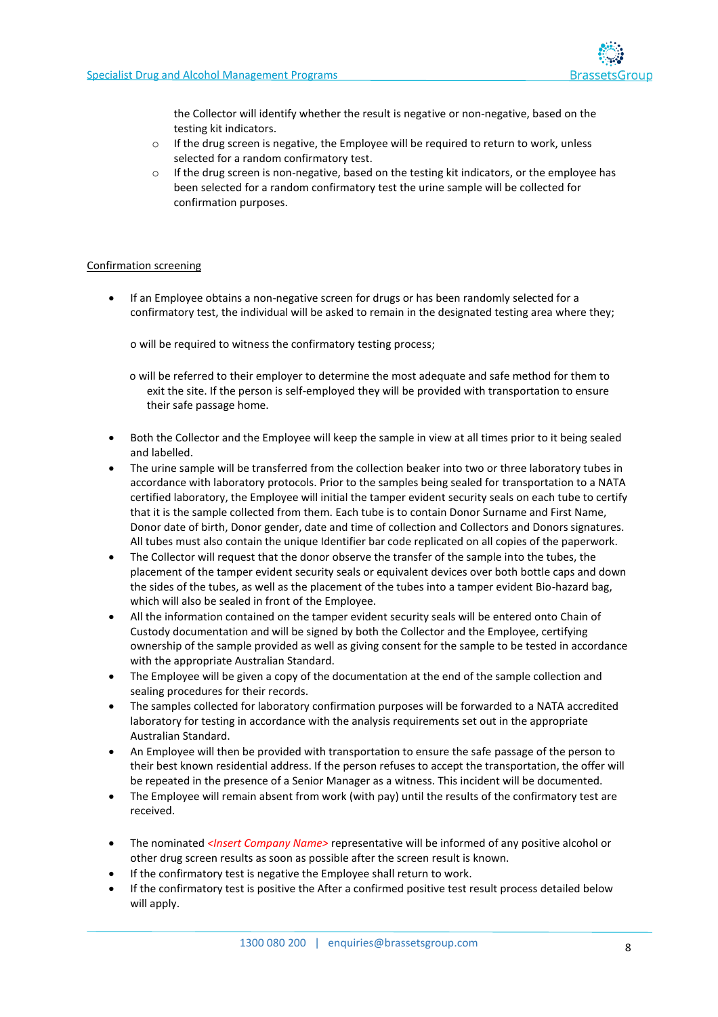

the Collector will identify whether the result is negative or non-negative, based on the testing kit indicators.

- o If the drug screen is negative, the Employee will be required to return to work, unless selected for a random confirmatory test.
- $\circ$  If the drug screen is non-negative, based on the testing kit indicators, or the employee has been selected for a random confirmatory test the urine sample will be collected for confirmation purposes.

#### Confirmation screening

• If an Employee obtains a non-negative screen for drugs or has been randomly selected for a confirmatory test, the individual will be asked to remain in the designated testing area where they;

o will be required to witness the confirmatory testing process;

o will be referred to their employer to determine the most adequate and safe method for them to exit the site. If the person is self-employed they will be provided with transportation to ensure their safe passage home.

- Both the Collector and the Employee will keep the sample in view at all times prior to it being sealed and labelled.
- The urine sample will be transferred from the collection beaker into two or three laboratory tubes in accordance with laboratory protocols. Prior to the samples being sealed for transportation to a NATA certified laboratory, the Employee will initial the tamper evident security seals on each tube to certify that it is the sample collected from them. Each tube is to contain Donor Surname and First Name, Donor date of birth, Donor gender, date and time of collection and Collectors and Donors signatures. All tubes must also contain the unique Identifier bar code replicated on all copies of the paperwork.
- The Collector will request that the donor observe the transfer of the sample into the tubes, the placement of the tamper evident security seals or equivalent devices over both bottle caps and down the sides of the tubes, as well as the placement of the tubes into a tamper evident Bio-hazard bag, which will also be sealed in front of the Employee.
- All the information contained on the tamper evident security seals will be entered onto Chain of Custody documentation and will be signed by both the Collector and the Employee, certifying ownership of the sample provided as well as giving consent for the sample to be tested in accordance with the appropriate Australian Standard.
- The Employee will be given a copy of the documentation at the end of the sample collection and sealing procedures for their records.
- The samples collected for laboratory confirmation purposes will be forwarded to a NATA accredited laboratory for testing in accordance with the analysis requirements set out in the appropriate Australian Standard.
- An Employee will then be provided with transportation to ensure the safe passage of the person to their best known residential address. If the person refuses to accept the transportation, the offer will be repeated in the presence of a Senior Manager as a witness. This incident will be documented.
- The Employee will remain absent from work (with pay) until the results of the confirmatory test are received.
- The nominated *<Insert Company Name>* representative will be informed of any positive alcohol or other drug screen results as soon as possible after the screen result is known.
- If the confirmatory test is negative the Employee shall return to work.
- If the confirmatory test is positive the After a confirmed positive test result process detailed below will apply.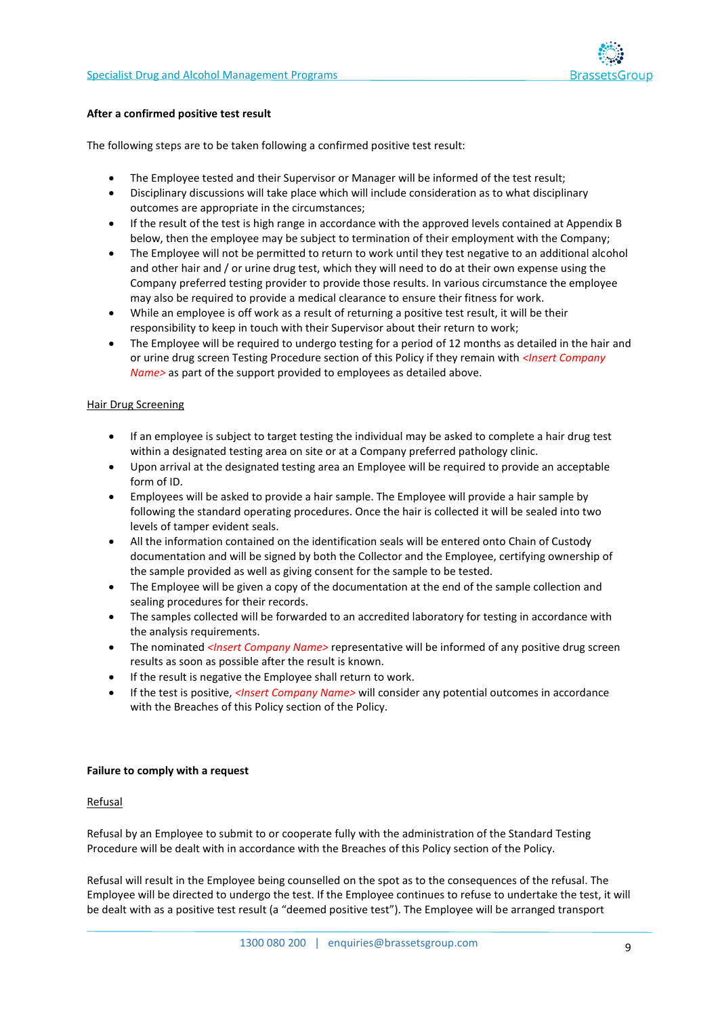

#### **After a confirmed positive test result**

The following steps are to be taken following a confirmed positive test result:

- The Employee tested and their Supervisor or Manager will be informed of the test result;
- Disciplinary discussions will take place which will include consideration as to what disciplinary outcomes are appropriate in the circumstances;
- If the result of the test is high range in accordance with the approved levels contained at Appendix B below, then the employee may be subject to termination of their employment with the Company;
- The Employee will not be permitted to return to work until they test negative to an additional alcohol and other hair and / or urine drug test, which they will need to do at their own expense using the Company preferred testing provider to provide those results. In various circumstance the employee may also be required to provide a medical clearance to ensure their fitness for work.
- While an employee is off work as a result of returning a positive test result, it will be their responsibility to keep in touch with their Supervisor about their return to work;
- The Employee will be required to undergo testing for a period of 12 months as detailed in the hair and or urine drug screen Testing Procedure section of this Policy if they remain with *<Insert Company Name>* as part of the support provided to employees as detailed above.

#### Hair Drug Screening

- If an employee is subject to target testing the individual may be asked to complete a hair drug test within a designated testing area on site or at a Company preferred pathology clinic.
- Upon arrival at the designated testing area an Employee will be required to provide an acceptable form of ID.
- Employees will be asked to provide a hair sample. The Employee will provide a hair sample by following the standard operating procedures. Once the hair is collected it will be sealed into two levels of tamper evident seals.
- All the information contained on the identification seals will be entered onto Chain of Custody documentation and will be signed by both the Collector and the Employee, certifying ownership of the sample provided as well as giving consent for the sample to be tested.
- The Employee will be given a copy of the documentation at the end of the sample collection and sealing procedures for their records.
- The samples collected will be forwarded to an accredited laboratory for testing in accordance with the analysis requirements.
- The nominated *<Insert Company Name>* representative will be informed of any positive drug screen results as soon as possible after the result is known.
- If the result is negative the Employee shall return to work.
- If the test is positive, *<Insert Company Name>* will consider any potential outcomes in accordance with the Breaches of this Policy section of the Policy.

#### **Failure to comply with a request**

#### Refusal

Refusal by an Employee to submit to or cooperate fully with the administration of the Standard Testing Procedure will be dealt with in accordance with the Breaches of this Policy section of the Policy.

Refusal will result in the Employee being counselled on the spot as to the consequences of the refusal. The Employee will be directed to undergo the test. If the Employee continues to refuse to undertake the test, it will be dealt with as a positive test result (a "deemed positive test"). The Employee will be arranged transport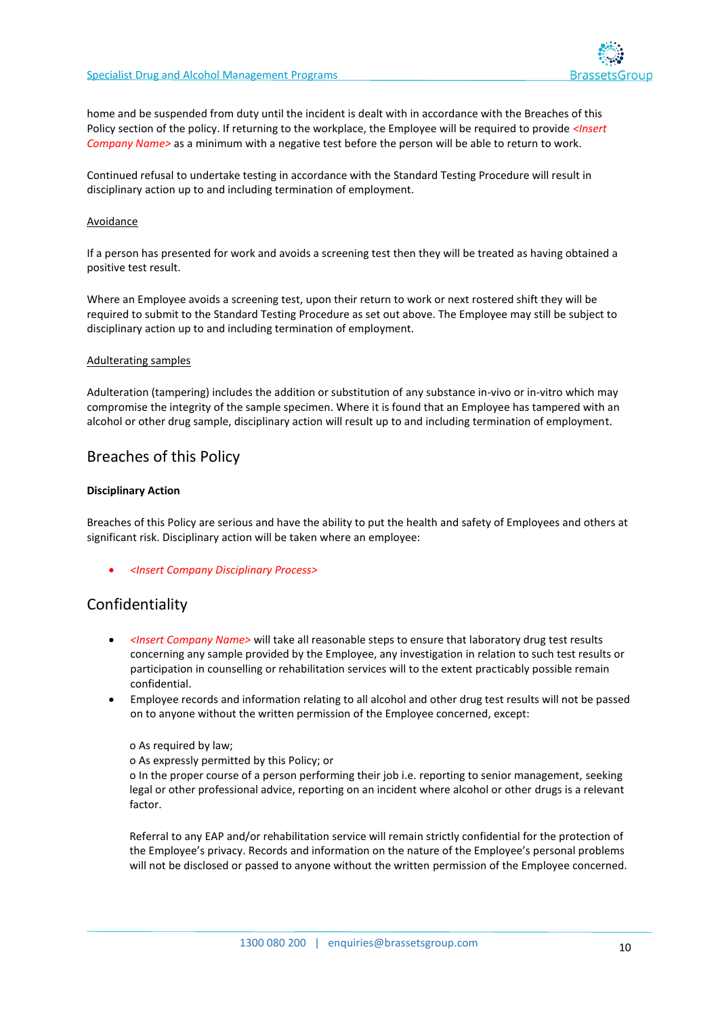

home and be suspended from duty until the incident is dealt with in accordance with the Breaches of this Policy section of the policy. If returning to the workplace, the Employee will be required to provide *<Insert Company Name>* as a minimum with a negative test before the person will be able to return to work.

Continued refusal to undertake testing in accordance with the Standard Testing Procedure will result in disciplinary action up to and including termination of employment.

#### Avoidance

If a person has presented for work and avoids a screening test then they will be treated as having obtained a positive test result.

Where an Employee avoids a screening test, upon their return to work or next rostered shift they will be required to submit to the Standard Testing Procedure as set out above. The Employee may still be subject to disciplinary action up to and including termination of employment.

#### Adulterating samples

Adulteration (tampering) includes the addition or substitution of any substance in-vivo or in-vitro which may compromise the integrity of the sample specimen. Where it is found that an Employee has tampered with an alcohol or other drug sample, disciplinary action will result up to and including termination of employment.

### Breaches of this Policy

#### **Disciplinary Action**

Breaches of this Policy are serious and have the ability to put the health and safety of Employees and others at significant risk. Disciplinary action will be taken where an employee:

• *<Insert Company Disciplinary Process>*

### Confidentiality

- *<Insert Company Name>* will take all reasonable steps to ensure that laboratory drug test results concerning any sample provided by the Employee, any investigation in relation to such test results or participation in counselling or rehabilitation services will to the extent practicably possible remain confidential.
- Employee records and information relating to all alcohol and other drug test results will not be passed on to anyone without the written permission of the Employee concerned, except:

#### o As required by law;

o As expressly permitted by this Policy; or

o In the proper course of a person performing their job i.e. reporting to senior management, seeking legal or other professional advice, reporting on an incident where alcohol or other drugs is a relevant factor.

Referral to any EAP and/or rehabilitation service will remain strictly confidential for the protection of the Employee's privacy. Records and information on the nature of the Employee's personal problems will not be disclosed or passed to anyone without the written permission of the Employee concerned.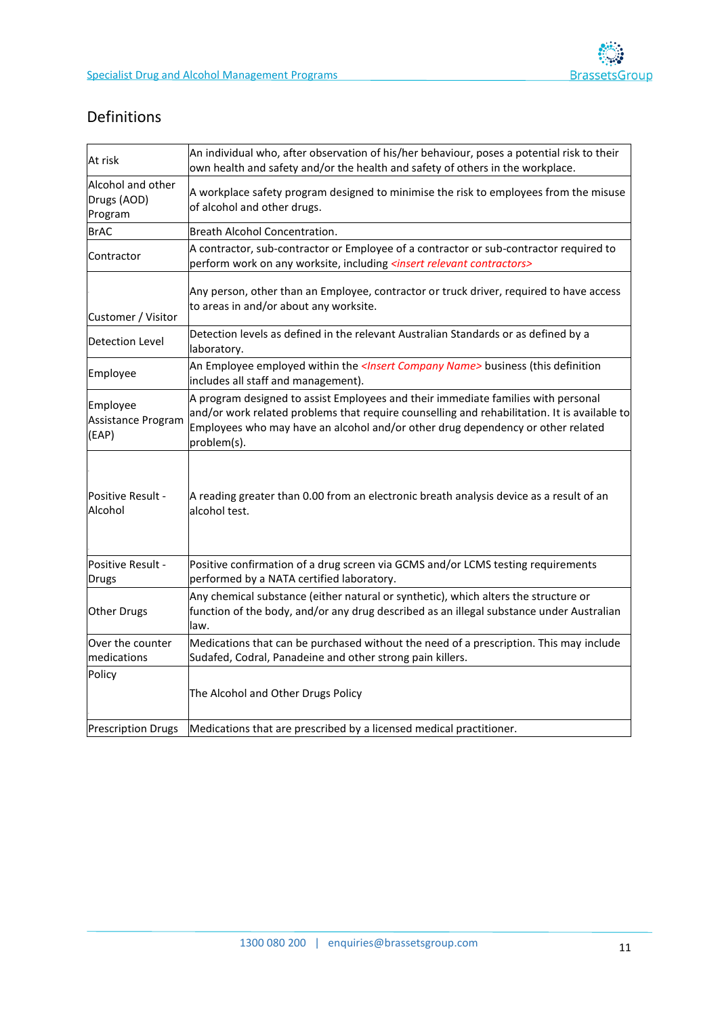

# Definitions

| At risk                                                                                          | An individual who, after observation of his/her behaviour, poses a potential risk to their<br>own health and safety and/or the health and safety of others in the workplace.                                                                                                        |  |  |  |
|--------------------------------------------------------------------------------------------------|-------------------------------------------------------------------------------------------------------------------------------------------------------------------------------------------------------------------------------------------------------------------------------------|--|--|--|
| Alcohol and other<br>Drugs (AOD)<br>Program                                                      | A workplace safety program designed to minimise the risk to employees from the misuse<br>of alcohol and other drugs.                                                                                                                                                                |  |  |  |
| <b>BrAC</b>                                                                                      | Breath Alcohol Concentration.                                                                                                                                                                                                                                                       |  |  |  |
| Contractor                                                                                       | A contractor, sub-contractor or Employee of a contractor or sub-contractor required to<br>perform work on any worksite, including <insert contractors="" relevant=""></insert>                                                                                                      |  |  |  |
| Customer / Visitor                                                                               | Any person, other than an Employee, contractor or truck driver, required to have access<br>to areas in and/or about any worksite.                                                                                                                                                   |  |  |  |
| <b>Detection Level</b>                                                                           | Detection levels as defined in the relevant Australian Standards or as defined by a<br>laboratory.                                                                                                                                                                                  |  |  |  |
| Employee                                                                                         | An Employee employed within the <insert company="" name=""> business (this definition<br/>includes all staff and management).</insert>                                                                                                                                              |  |  |  |
| Employee<br>Assistance Program<br>(EAP)                                                          | A program designed to assist Employees and their immediate families with personal<br>and/or work related problems that require counselling and rehabilitation. It is available to<br>Employees who may have an alcohol and/or other drug dependency or other related<br>problem(s). |  |  |  |
| Positive Result -<br>Alcohol                                                                     | A reading greater than 0.00 from an electronic breath analysis device as a result of an<br>alcohol test.                                                                                                                                                                            |  |  |  |
| Positive Result -<br>Drugs                                                                       | Positive confirmation of a drug screen via GCMS and/or LCMS testing requirements<br>performed by a NATA certified laboratory.                                                                                                                                                       |  |  |  |
| Other Drugs                                                                                      | Any chemical substance (either natural or synthetic), which alters the structure or<br>function of the body, and/or any drug described as an illegal substance under Australian<br>law.                                                                                             |  |  |  |
| Over the counter<br>medications                                                                  | Medications that can be purchased without the need of a prescription. This may include<br>Sudafed, Codral, Panadeine and other strong pain killers.                                                                                                                                 |  |  |  |
| Policy                                                                                           | The Alcohol and Other Drugs Policy                                                                                                                                                                                                                                                  |  |  |  |
| Medications that are prescribed by a licensed medical practitioner.<br><b>Prescription Drugs</b> |                                                                                                                                                                                                                                                                                     |  |  |  |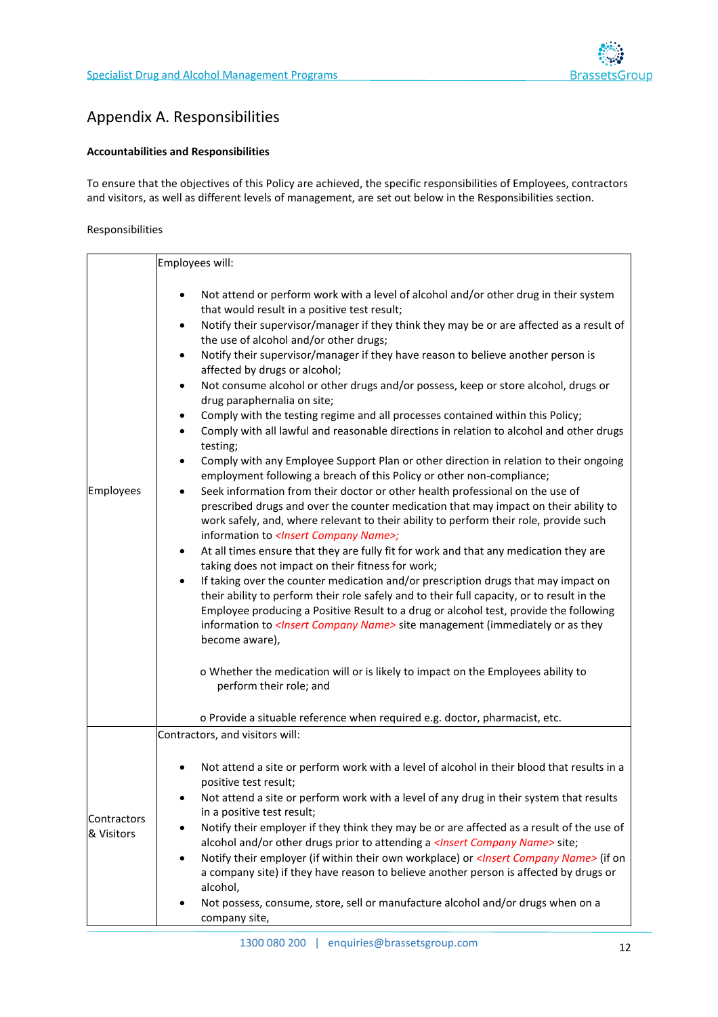

# Appendix A. Responsibilities

#### **Accountabilities and Responsibilities**

To ensure that the objectives of this Policy are achieved, the specific responsibilities of Employees, contractors and visitors, as well as different levels of management, are set out below in the Responsibilities section.

#### Responsibilities

|                           | Employees will:                                                                                                                                                                                                                                                                                                                                                                                                                                                                                                                                                                                                                                                                                                                                                                                                                                                                                                                                                                                                                                                                                                                                                                                                                                                                                                                                                                                                                                                                                                                                                                                                                                                                                                                                                                                                                                                                                                                                                                                                                                                                            |
|---------------------------|--------------------------------------------------------------------------------------------------------------------------------------------------------------------------------------------------------------------------------------------------------------------------------------------------------------------------------------------------------------------------------------------------------------------------------------------------------------------------------------------------------------------------------------------------------------------------------------------------------------------------------------------------------------------------------------------------------------------------------------------------------------------------------------------------------------------------------------------------------------------------------------------------------------------------------------------------------------------------------------------------------------------------------------------------------------------------------------------------------------------------------------------------------------------------------------------------------------------------------------------------------------------------------------------------------------------------------------------------------------------------------------------------------------------------------------------------------------------------------------------------------------------------------------------------------------------------------------------------------------------------------------------------------------------------------------------------------------------------------------------------------------------------------------------------------------------------------------------------------------------------------------------------------------------------------------------------------------------------------------------------------------------------------------------------------------------------------------------|
| Employees                 | Not attend or perform work with a level of alcohol and/or other drug in their system<br>$\bullet$<br>that would result in a positive test result;<br>Notify their supervisor/manager if they think they may be or are affected as a result of<br>$\bullet$<br>the use of alcohol and/or other drugs;<br>Notify their supervisor/manager if they have reason to believe another person is<br>٠<br>affected by drugs or alcohol;<br>Not consume alcohol or other drugs and/or possess, keep or store alcohol, drugs or<br>٠<br>drug paraphernalia on site;<br>Comply with the testing regime and all processes contained within this Policy;<br>$\bullet$<br>Comply with all lawful and reasonable directions in relation to alcohol and other drugs<br>$\bullet$<br>testing;<br>Comply with any Employee Support Plan or other direction in relation to their ongoing<br>٠<br>employment following a breach of this Policy or other non-compliance;<br>Seek information from their doctor or other health professional on the use of<br>$\bullet$<br>prescribed drugs and over the counter medication that may impact on their ability to<br>work safely, and, where relevant to their ability to perform their role, provide such<br>information to <insert company="" name="">;<br/>At all times ensure that they are fully fit for work and that any medication they are<br/>٠<br/>taking does not impact on their fitness for work;<br/>If taking over the counter medication and/or prescription drugs that may impact on<br/><math display="inline">\bullet</math><br/>their ability to perform their role safely and to their full capacity, or to result in the<br/>Employee producing a Positive Result to a drug or alcohol test, provide the following<br/>information to &lt;<i>Insert Company Name&gt;</i> site management (immediately or as they<br/>become aware),<br/>o Whether the medication will or is likely to impact on the Employees ability to<br/>perform their role; and<br/>o Provide a situable reference when required e.g. doctor, pharmacist, etc.</insert> |
|                           | Contractors, and visitors will:                                                                                                                                                                                                                                                                                                                                                                                                                                                                                                                                                                                                                                                                                                                                                                                                                                                                                                                                                                                                                                                                                                                                                                                                                                                                                                                                                                                                                                                                                                                                                                                                                                                                                                                                                                                                                                                                                                                                                                                                                                                            |
| Contractors<br>& Visitors | Not attend a site or perform work with a level of alcohol in their blood that results in a<br>positive test result;<br>Not attend a site or perform work with a level of any drug in their system that results<br>in a positive test result;<br>Notify their employer if they think they may be or are affected as a result of the use of<br>alcohol and/or other drugs prior to attending a < <i>Insert Company Name&gt;</i> site;<br>Notify their employer (if within their own workplace) or <lnsert company="" name=""> (if on<br/>a company site) if they have reason to believe another person is affected by drugs or<br/>alcohol,<br/>Not possess, consume, store, sell or manufacture alcohol and/or drugs when on a<br/>company site,</lnsert>                                                                                                                                                                                                                                                                                                                                                                                                                                                                                                                                                                                                                                                                                                                                                                                                                                                                                                                                                                                                                                                                                                                                                                                                                                                                                                                                   |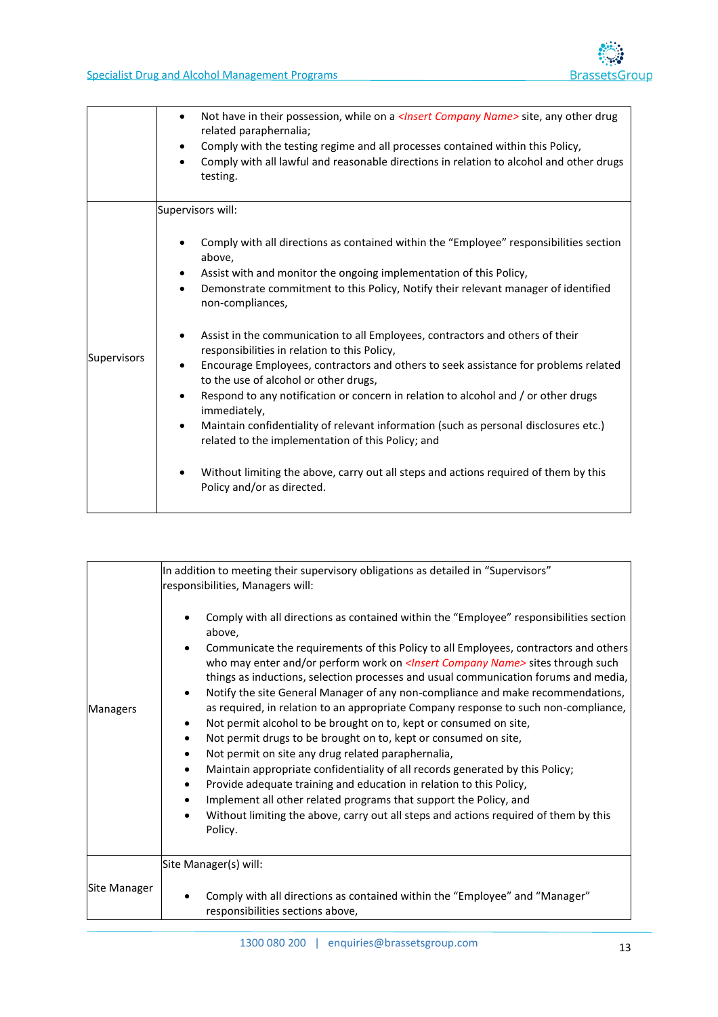|                    | Not have in their possession, while on a <i><lnsert company="" name=""></lnsert></i> site, any other drug<br>$\bullet$<br>related paraphernalia;<br>Comply with the testing regime and all processes contained within this Policy,<br>$\bullet$<br>Comply with all lawful and reasonable directions in relation to alcohol and other drugs<br>testing.                                                                                                                                                                                                                                                                                                                                                                                                                                                                                                                                                                                                                                      |
|--------------------|---------------------------------------------------------------------------------------------------------------------------------------------------------------------------------------------------------------------------------------------------------------------------------------------------------------------------------------------------------------------------------------------------------------------------------------------------------------------------------------------------------------------------------------------------------------------------------------------------------------------------------------------------------------------------------------------------------------------------------------------------------------------------------------------------------------------------------------------------------------------------------------------------------------------------------------------------------------------------------------------|
|                    | Supervisors will:                                                                                                                                                                                                                                                                                                                                                                                                                                                                                                                                                                                                                                                                                                                                                                                                                                                                                                                                                                           |
| <b>Supervisors</b> | Comply with all directions as contained within the "Employee" responsibilities section<br>above,<br>Assist with and monitor the ongoing implementation of this Policy,<br>Demonstrate commitment to this Policy, Notify their relevant manager of identified<br>$\bullet$<br>non-compliances,<br>Assist in the communication to all Employees, contractors and others of their<br>$\bullet$<br>responsibilities in relation to this Policy,<br>Encourage Employees, contractors and others to seek assistance for problems related<br>$\bullet$<br>to the use of alcohol or other drugs,<br>Respond to any notification or concern in relation to alcohol and / or other drugs<br>$\bullet$<br>immediately,<br>Maintain confidentiality of relevant information (such as personal disclosures etc.)<br>$\bullet$<br>related to the implementation of this Policy; and<br>Without limiting the above, carry out all steps and actions required of them by this<br>Policy and/or as directed. |

|                     | In addition to meeting their supervisory obligations as detailed in "Supervisors"<br>responsibilities, Managers will:                                                                                                                                                                                                                                                                                                                                                                                                                                                                                                                                                                                                                                                                                                                                                                                                                                                                                                                               |
|---------------------|-----------------------------------------------------------------------------------------------------------------------------------------------------------------------------------------------------------------------------------------------------------------------------------------------------------------------------------------------------------------------------------------------------------------------------------------------------------------------------------------------------------------------------------------------------------------------------------------------------------------------------------------------------------------------------------------------------------------------------------------------------------------------------------------------------------------------------------------------------------------------------------------------------------------------------------------------------------------------------------------------------------------------------------------------------|
| Managers            | Comply with all directions as contained within the "Employee" responsibilities section<br>above,<br>Communicate the requirements of this Policy to all Employees, contractors and others<br>who may enter and/or perform work on  sites through such<br>things as inductions, selection processes and usual communication forums and media,<br>Notify the site General Manager of any non-compliance and make recommendations,<br>as required, in relation to an appropriate Company response to such non-compliance,<br>Not permit alcohol to be brought on to, kept or consumed on site,<br>Not permit drugs to be brought on to, kept or consumed on site,<br>Not permit on site any drug related paraphernalia,<br>Maintain appropriate confidentiality of all records generated by this Policy;<br>Provide adequate training and education in relation to this Policy,<br>Implement all other related programs that support the Policy, and<br>Without limiting the above, carry out all steps and actions required of them by this<br>Policy. |
| <b>Site Manager</b> | Site Manager(s) will:<br>Comply with all directions as contained within the "Employee" and "Manager"<br>responsibilities sections above,                                                                                                                                                                                                                                                                                                                                                                                                                                                                                                                                                                                                                                                                                                                                                                                                                                                                                                            |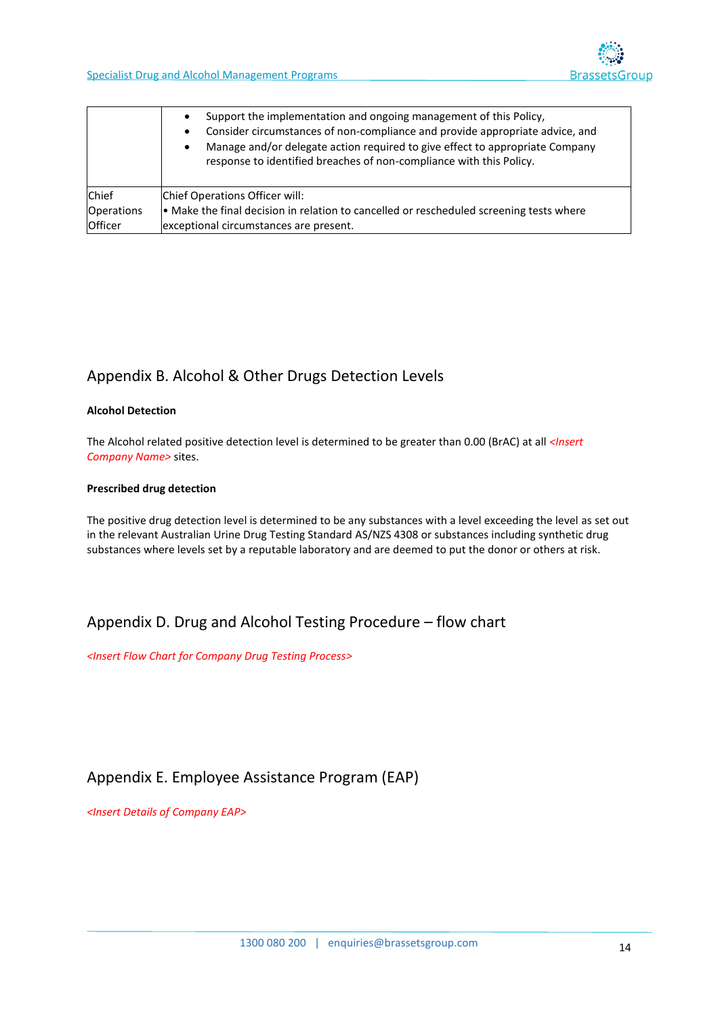|                   | Support the implementation and ongoing management of this Policy,<br>$\bullet$<br>Consider circumstances of non-compliance and provide appropriate advice, and<br>$\bullet$<br>Manage and/or delegate action required to give effect to appropriate Company<br>$\bullet$<br>response to identified breaches of non-compliance with this Policy. |  |  |
|-------------------|-------------------------------------------------------------------------------------------------------------------------------------------------------------------------------------------------------------------------------------------------------------------------------------------------------------------------------------------------|--|--|
| <b>Chief</b>      | Chief Operations Officer will:                                                                                                                                                                                                                                                                                                                  |  |  |
| <b>Operations</b> | • Make the final decision in relation to cancelled or rescheduled screening tests where                                                                                                                                                                                                                                                         |  |  |
| Officer           | exceptional circumstances are present.                                                                                                                                                                                                                                                                                                          |  |  |

# Appendix B. Alcohol & Other Drugs Detection Levels

#### **Alcohol Detection**

The Alcohol related positive detection level is determined to be greater than 0.00 (BrAC) at all *<Insert Company Name>* sites.

#### **Prescribed drug detection**

The positive drug detection level is determined to be any substances with a level exceeding the level as set out in the relevant Australian Urine Drug Testing Standard AS/NZS 4308 or substances including synthetic drug substances where levels set by a reputable laboratory and are deemed to put the donor or others at risk.

# Appendix D. Drug and Alcohol Testing Procedure – flow chart

*<Insert Flow Chart for Company Drug Testing Process>*

# Appendix E. Employee Assistance Program (EAP)

*<Insert Details of Company EAP>*